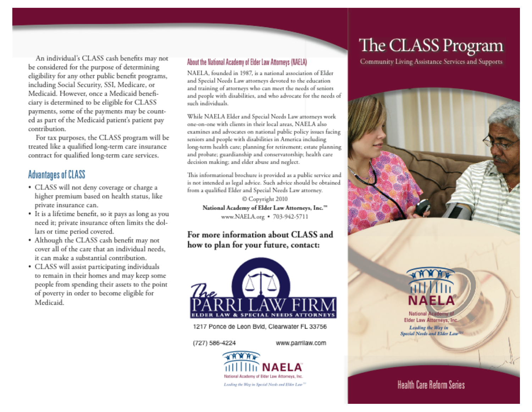An individual's CLASS cash benefits may not hange the National Academy of Fider Law Att eligibility for any other public benefit programs, including Social Security, SSI, Medicare, or Medicaid. However, once a Medicaid beneficiary is determined to be eligible for CLASS contribution. An individual s CLASS cash behefts may not<br>be considered for the purpose of determining payments, some of the payments may be count-<br> **This informational Special Needs Law attorneys work**<br> **TATIA** 

For tax purposes, the CLASS program will be treated like a qualified long-term care insurance contract for qualified long-term care services.

#### me period covered. 1 the Class cash benefit may not be considered

•d for the purpose of determining or any other public benefit programs.  $\sim$   $\sim$   $\sim$   $\sim$   $\sim$ However, once a Medicaid benefi-

- CLASS will not deny coverage or charge a higher premium based on health status, like private insurance can.
- It is a lifetime benefit, so it pays as long as you need it; private insurance often limits the dollars or time period covered.<br>• Although the CLASS cash benefit may not
- **1218** It can make a substantial contribution.<br>• CLASS will assist participating individuals
- to remain in their homes and may keep some<br>people from spending their assets to the point of poverty in order to become eligible for Medicaid.

**And training of airarneys who can meet the needs of seniors And people with disabilities, armd who advocate for the needs or**

> NAELA, founded in 1987, is a national association of Elder and Special Needs Law attorneys devoted to the education and training of attorneys who can meet the needs of seniors and people with disabilities, and who advocate for the needs of such individuals.

> one-on-one with clients in their local areas. NAELA also examines and advocates on national public policy issues facing seniors and people with disabilities in America including long-term health care; planning for retirement; estate planning and probate; guardianship and conservatorship; health care<br>decision making; and elder abuse and neglect.

> This informational brochure is provided as a public service and is not intended as legal advice. Such advice should be obtained<br>from a qualified Elder and Special Needs Law attorney.

Copyright 2010

# lars or time period covered.<br>Although the CLASS cash benefit may not<br>cover all of the care that an individual needs. **how to plan for your future, contact:**



**1217 Po** 

(727) 586-4224

www.parrilaw.com



## The CLASS Program

**• • 10• • •**

Community Living Assistance Services and Supports



### **Health Care Reform Series**